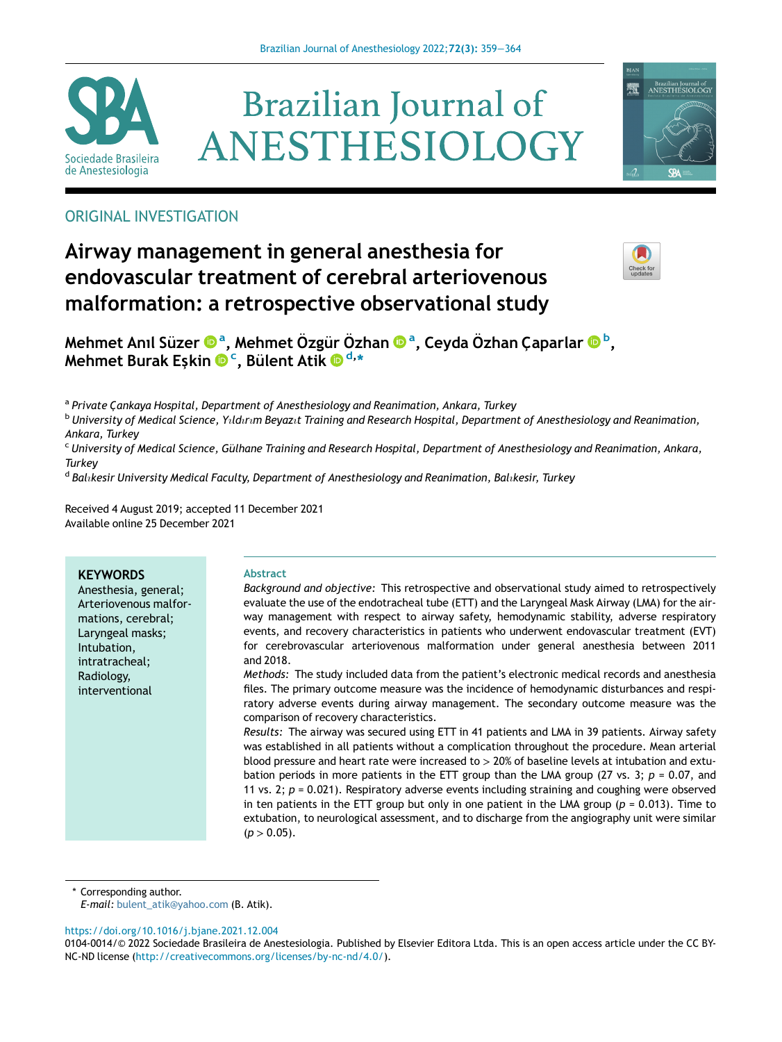





# ORIGINAL INVESTIGATION

# Airway management in general anesthesia for endovascular treatment of cerebral arteriovenous malformation: a retrospective observational study



Mehmet Anıl Süzer ®ª, Mehmet Özgür Özh[a](http://orcid.org/0000-0001-8489-5945)n ®ª, Ceyda Özhan Çapa[r](http://orcid.org/0000-0003-3240-6147)lar ®<sup>[b](http://orcid.org/0000-0001-5306-1956)</sup>[,](http://orcid.org/0000-0001-5306-1956) [Mehmet Burak E](http://orcid.org/0000-0001-5306-1956)ş[kin](http://orcid.org/0000-0001-6781-9334) © <sup>[c](http://orcid.org/0000-0001-6781-9334)</sup>, Bü[lent Atik](http://orcid.org/0000-0002-6876-2963) © <sup>[d,](http://orcid.org/0000-0002-6876-2963)</sup>[\\*](http://orcid.org/0000-0002-6876-2963)

a Private Cankaya Hospital, Department of Anesthesiology and Reanimation, Ankara, Turkey

 $b$  University of Medical Science, Yildirum Beyazit Training and Research Hospital, Department of Anesthesiology and Reanimation, Ankara, Turkey

<sup>c</sup> University of Medical Science, Gülhane Training and Research Hospital, Department of Anesthesiology and Reanimation, Ankara, **Turkey** 

<sup>d</sup> Bal<sub>i</sub>kesir University Medical Faculty, Department of Anesthesiology and Reanimation, Bal<sub>i</sub>kesir, Turkey

Received 4 August 2019; accepted 11 December 2021 Available online 25 December 2021

## **KEYWORDS**

Anesthesia, general; Arteriovenous malformations, cerebral; Laryngeal masks; Intubation, intratracheal; Radiology, interventional

## Abstract

Background and objective: This retrospective and observational study aimed to retrospectively evaluate the use of the endotracheal tube (ETT) and the Laryngeal Mask Airway (LMA) for the airway management with respect to airway safety, hemodynamic stability, adverse respiratory events, and recovery characteristics in patients who underwent endovascular treatment (EVT) for cerebrovascular arteriovenous malformation under general anesthesia between 2011 and 2018.

Methods: The study included data from the patient's electronic medical records and anesthesia files. The primary outcome measure was the incidence of hemodynamic disturbances and respiratory adverse events during airway management. The secondary outcome measure was the comparison of recovery characteristics.

Results: The airway was secured using ETT in 41 patients and LMA in 39 patients. Airway safety was established in all patients without a complication throughout the procedure. Mean arterial blood pressure and heart rate were increased to > 20% of baseline levels at intubation and extubation periods in more patients in the ETT group than the LMA group (27 vs. 3;  $p = 0.07$ , and 11 vs. 2;  $p = 0.021$ ). Respiratory adverse events including straining and coughing were observed in ten patients in the ETT group but only in one patient in the LMA group ( $p = 0.013$ ). Time to extubation, to neurological assessment, and to discharge from the angiography unit were similar  $(p > 0.05)$ .

\* Corresponding author.

E-mail: [bulent\\_atik@yahoo.com](mailto:bulent_atik@yahoo.com) (B. Atik).

<https://doi.org/10.1016/j.bjane.2021.12.004>

<sup>0104-0014/© 2022</sup> Sociedade Brasileira de Anestesiologia. Published by Elsevier Editora Ltda. This is an open access article under the CC BY-NC-ND license [\(http://creativecommons.org/licenses/by-nc-nd/4.0/](http://creativecommons.org/licenses/by-nc-nd/4.0/)).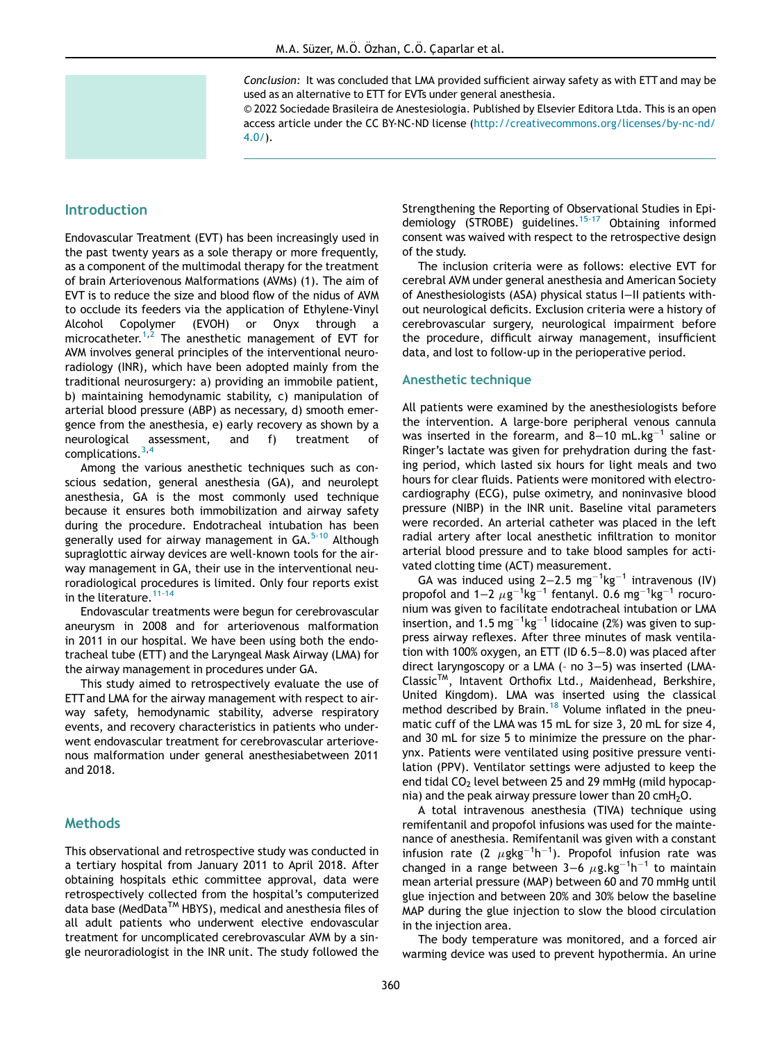Conclusion: It was concluded that LMA provided sufficient airway safety as with ETT and may be used as an alternative to ETT for EVTs under general anesthesia.

© 2022 Sociedade Brasileira de Anestesiologia. Published by Elsevier Editora Ltda. This is an open access article under the CC BY-NC-ND license [\(http://creativecommons.org/licenses/by-nc-nd/](http://creativecommons.org/licenses/by-nc-nd/4.0/) [4.0/\)](http://creativecommons.org/licenses/by-nc-nd/4.0/).

## Introduction

Endovascular Treatment (EVT) has been increasingly used in the past twenty years as a sole therapy or more frequently, as a component of the multimodal therapy for the treatment of brain Arteriovenous Malformations (AVMs) (1). The aim of EVT is to reduce the size and blood flow of the nidus of AVM to occlude its feeders via the application of Ethylene-Vinyl Alcohol Copolymer (EVOH) or Onyx through a microcatheter.<sup>1[,2](#page-5-1)</sup> The anesthetic management of EVT for AVM involves general principles of the interventional neuroradiology (INR), which have been adopted mainly from the traditional neurosurgery: a) providing an immobile patient, b) maintaining hemodynamic stability, c) manipulation of arterial blood pressure (ABP) as necessary, d) smooth emergence from the anesthesia, e) early recovery as shown by a neurological assessment, and f) treatment of complications.[3](#page-5-2),[4](#page-5-3)

Among the various anesthetic techniques such as conscious sedation, general anesthesia (GA), and neurolept anesthesia, GA is the most commonly used technique because it ensures both immobilization and airway safety during the procedure. Endotracheal intubation has been generally used for airway management in GA.<sup>[5-10](#page-5-4)</sup> Although supraglottic airway devices are well-known tools for the airway management in GA, their use in the interventional neuroradiological procedures is limited. Only four reports exist in the literature.  $11-14$ 

Endovascular treatments were begun for cerebrovascular aneurysm in 2008 and for arteriovenous malformation in 2011 in our hospital. We have been using both the endotracheal tube (ETT) and the Laryngeal Mask Airway (LMA) for the airway management in procedures under GA.

This study aimed to retrospectively evaluate the use of ETT and LMA for the airway management with respect to airway safety, hemodynamic stability, adverse respiratory events, and recovery characteristics in patients who underwent endovascular treatment for cerebrovascular arteriovenous malformation under general anesthesiabetween 2011 and 2018.

## **Methods**

This observational and retrospective study was conducted in a tertiary hospital from January 2011 to April 2018. After obtaining hospitals ethic committee approval, data were retrospectively collected from the hospital's computerized data base (MedData™ HBYS), medical and anesthesia files of all adult patients who underwent elective endovascular treatment for uncomplicated cerebrovascular AVM by a single neuroradiologist in the INR unit. The study followed the Strengthening the Reporting of Observational Studies in Epi-demiology (STROBE) guidelines.<sup>[15-17](#page-5-6)</sup> Obtaining informed consent was waived with respect to the retrospective design of the study.

The inclusion criteria were as follows: elective EVT for cerebral AVM under general anesthesia and American Society of Anesthesiologists (ASA) physical status I−II patients without neurological deficits. Exclusion criteria were a history of cerebrovascular surgery, neurological impairment before the procedure, difficult airway management, insufficient data, and lost to follow-up in the perioperative period.

#### Anesthetic technique

All patients were examined by the anesthesiologists before the intervention. A large-bore peripheral venous cannula was inserted in the forearm, and  $8-10$  mL.kg<sup>-1</sup> saline or Ringer's lactate was given for prehydration during the fasting period, which lasted six hours for light meals and two hours for clear fluids. Patients were monitored with electrocardiography (ECG), pulse oximetry, and noninvasive blood pressure (NIBP) in the INR unit. Baseline vital parameters were recorded. An arterial catheter was placed in the left radial artery after local anesthetic infiltration to monitor arterial blood pressure and to take blood samples for activated clotting time (ACT) measurement.

GA was induced using  $2-2.5$  mg<sup>-1</sup>kg<sup>-1</sup> intravenous (IV) propofol and  $1-2 \mu g^{-1} kg^{-1}$  fentanyl. 0.6 mg<sup>-1</sup>kg<sup>-1</sup> rocuronium was given to facilitate endotracheal intubation or LMA insertion, and 1.5 mg<sup>-1</sup>kg<sup>-1</sup> lidocaine (2%) was given to suppress airway reflexes. After three minutes of mask ventilation with 100% oxygen, an ETT (ID 6.5−8.0) was placed after direct laryngoscopy or a LMA (– no 3−5) was inserted (LMA-ClassicTM, Intavent Orthofix Ltd., Maidenhead, Berkshire, United Kingdom). LMA was inserted using the classical method described by Brain.<sup>[18](#page-5-7)</sup> Volume inflated in the pneumatic cuff of the LMA was 15 mL for size 3, 20 mL for size 4, and 30 mL for size 5 to minimize the pressure on the pharynx. Patients were ventilated using positive pressure ventilation (PPV). Ventilator settings were adjusted to keep the end tidal  $CO<sub>2</sub>$  level between 25 and 29 mmHg (mild hypocapnia) and the peak airway pressure lower than  $20 \text{ cm}H_2O$ .

A total intravenous anesthesia (TIVA) technique using remifentanil and propofol infusions was used for the maintenance of anesthesia. Remifentanil was given with a constant infusion rate (2  $\mu$ gkg<sup>-1</sup>h<sup>-1</sup>). Propofol infusion rate was changed in a range between 3–6  $\mu$ g.kg<sup>-1</sup>h<sup>-1</sup> to maintain mean arterial pressure (MAP) between 60 and 70 mmHg until glue injection and between 20% and 30% below the baseline MAP during the glue injection to slow the blood circulation in the injection area.

The body temperature was monitored, and a forced air warming device was used to prevent hypothermia. An urine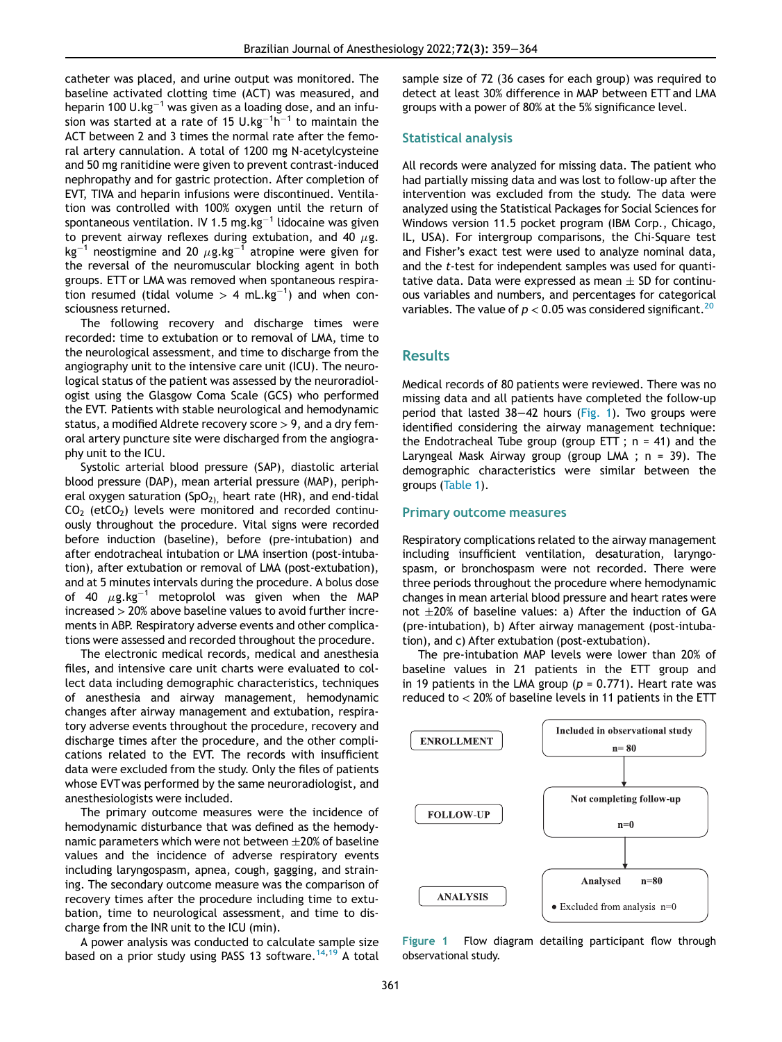catheter was placed, and urine output was monitored. The baseline activated clotting time (ACT) was measured, and heparin 100 U.kg<sup>-1</sup> was given as a loading dose, and an infusion was started at a rate of 15  $\sf U.kg^{-1}h^{-1}$  to maintain the ACT between 2 and 3 times the normal rate after the femoral artery cannulation. A total of 1200 mg N-acetylcysteine and 50 mg ranitidine were given to prevent contrast-induced nephropathy and for gastric protection. After completion of EVT, TIVA and heparin infusions were discontinued. Ventilation was controlled with 100% oxygen until the return of spontaneous ventilation. IV 1.5 mg.kg $^{-1}$  lidocaine was given to prevent airway reflexes during extubation, and 40  $\mu$ g. kg<sup>-1</sup> neostigmine and 20  $\mu$ g.kg<sup>-1</sup> atropine were given for the reversal of the neuromuscular blocking agent in both groups. ETT or LMA was removed when spontaneous respiration resumed (tidal volume  $> 4$  mL.kg $^{-1}$ ) and when consciousness returned.

The following recovery and discharge times were recorded: time to extubation or to removal of LMA, time to the neurological assessment, and time to discharge from the angiography unit to the intensive care unit (ICU). The neurological status of the patient was assessed by the neuroradiologist using the Glasgow Coma Scale (GCS) who performed the EVT. Patients with stable neurological and hemodynamic status, a modified Aldrete recovery score  $> 9$ , and a dry femoral artery puncture site were discharged from the angiography unit to the ICU.

Systolic arterial blood pressure (SAP), diastolic arterial blood pressure (DAP), mean arterial pressure (MAP), peripheral oxygen saturation  $(SpO<sub>2)</sub>$ , heart rate (HR), and end-tidal  $CO<sub>2</sub>$  (etCO<sub>2</sub>) levels were monitored and recorded continuously throughout the procedure. Vital signs were recorded before induction (baseline), before (pre-intubation) and after endotracheal intubation or LMA insertion (post-intubation), after extubation or removal of LMA (post-extubation), and at 5 minutes intervals during the procedure. A bolus dose of 40  $\mu$ g.kg<sup>-1</sup> metoprolol was given when the MAP increased > 20% above baseline values to avoid further increments in ABP. Respiratory adverse events and other complications were assessed and recorded throughout the procedure.

<span id="page-2-0"></span>The electronic medical records, medical and anesthesia files, and intensive care unit charts were evaluated to collect data including demographic characteristics, techniques of anesthesia and airway management, hemodynamic changes after airway management and extubation, respiratory adverse events throughout the procedure, recovery and discharge times after the procedure, and the other complications related to the EVT. The records with insufficient data were excluded from the study. Only the files of patients whose EVTwas performed by the same neuroradiologist, and anesthesiologists were included.

The primary outcome measures were the incidence of hemodynamic disturbance that was defined as the hemodynamic parameters which were not between  $\pm 20\%$  of baseline values and the incidence of adverse respiratory events including laryngospasm, apnea, cough, gagging, and straining. The secondary outcome measure was the comparison of recovery times after the procedure including time to extubation, time to neurological assessment, and time to discharge from the INR unit to the ICU (min).

A power analysis was conducted to calculate sample size based on a prior study using PASS 13 software.<sup>[14](#page-5-8)[,19](#page-5-9)</sup> A total sample size of 72 (36 cases for each group) was required to detect at least 30% difference in MAP between ETT and LMA groups with a power of 80% at the 5% significance level.

#### Statistical analysis

All records were analyzed for missing data. The patient who had partially missing data and was lost to follow-up after the intervention was excluded from the study. The data were analyzed using the Statistical Packages for Social Sciences for Windows version 11.5 pocket program (IBM Corp., Chicago, IL, USA). For intergroup comparisons, the Chi-Square test and Fisher's exact test were used to analyze nominal data, and the t-test for independent samples was used for quantitative data. Data were expressed as mean  $\pm$  SD for continuous variables and numbers, and percentages for categorical variables. The value of  $p < 0.05$  was considered significant.<sup>[20](#page-5-10)</sup>

## Results

Medical records of 80 patients were reviewed. There was no missing data and all patients have completed the follow-up period that lasted 38−42 hours ([Fig. 1](#page-2-0)). Two groups were identified considering the airway management technique: the Endotracheal Tube group (group ETT ;  $n = 41$ ) and the Laryngeal Mask Airway group (group LMA ; n = 39). The demographic characteristics were similar between the groups [\(Table 1](#page-3-0)).

#### Primary outcome measures

Respiratory complications related to the airway management including insufficient ventilation, desaturation, laryngospasm, or bronchospasm were not recorded. There were three periods throughout the procedure where hemodynamic changes in mean arterial blood pressure and heart rates were not  $\pm 20\%$  of baseline values: a) After the induction of GA (pre-intubation), b) After airway management (post-intubation), and c) After extubation (post-extubation).

The pre-intubation MAP levels were lower than 20% of baseline values in 21 patients in the ETT group and in 19 patients in the LMA group ( $p = 0.771$ ). Heart rate was reduced to < 20% of baseline levels in 11 patients in the ETT



Figure 1 Flow diagram detailing participant flow through observational study.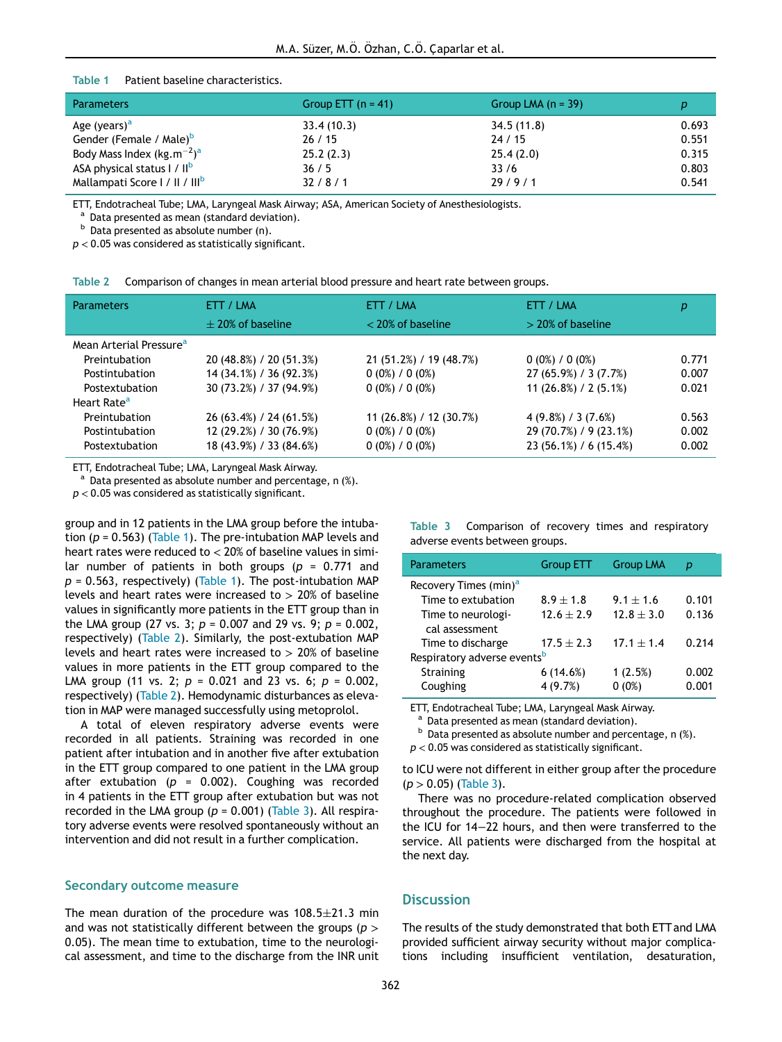#### Table 1 Patient baseline characteristics.

<span id="page-3-0"></span>

| <b>Parameters</b>                          | Group ETT $(n = 41)$ | Group LMA $(n = 39)$ |       |
|--------------------------------------------|----------------------|----------------------|-------|
| Age (years) <sup>a</sup>                   | 33.4(10.3)           | 34.5(11.8)           | 0.693 |
| Gender (Female / Male) <sup>b</sup>        | 26/15                | 24/15                | 0.551 |
| Body Mass Index $(kg.m^{-2})^a$            | 25.2(2.3)            | 25.4(2.0)            | 0.315 |
| ASA physical status I / II <sup>b</sup>    | 36/5                 | 33/6                 | 0.803 |
| Mallampati Score   /    /     <sup>b</sup> | 32/8/1               | 29/9/1               | 0.541 |

<span id="page-3-3"></span>ETT, Endotracheal Tube; LMA, Laryngeal Mask Airway; ASA, American Society of Anesthesiologists.

<sup>a</sup> Data presented as mean (standard deviation).

 $<sup>b</sup>$  Data presented as absolute number (n).</sup>

 $p < 0.05$  was considered as statistically significant.

| Table 2 |  | Comparison of changes in mean arterial blood pressure and heart rate between groups. |  |  |  |  |
|---------|--|--------------------------------------------------------------------------------------|--|--|--|--|
|---------|--|--------------------------------------------------------------------------------------|--|--|--|--|

<span id="page-3-1"></span>

| <b>Parameters</b>                   | ETT / LMA               | ETT / LMA               | ETT / LMA              | р     |
|-------------------------------------|-------------------------|-------------------------|------------------------|-------|
|                                     | $+20\%$ of baseline     | $<$ 20% of baseline     | $>$ 20% of baseline    |       |
| Mean Arterial Pressure <sup>a</sup> |                         |                         |                        |       |
| Preintubation                       | 20 (48.8%) / 20 (51.3%) | 21 (51.2%) / 19 (48.7%) | $0(0\%) / 0(0\%)$      | 0.771 |
| Postintubation                      | 14 (34.1%) / 36 (92.3%) | $0(0\%) / 0(0\%)$       | 27 (65.9%) / 3 (7.7%)  | 0.007 |
| Postextubation                      | 30 (73.2%) / 37 (94.9%) | $0(0\%) / 0(0\%)$       | 11 $(26.8%) / 2(5.1%)$ | 0.021 |
| Heart Rate <sup>a</sup>             |                         |                         |                        |       |
| Preintubation                       | 26 (63.4%) / 24 (61.5%) | 11 (26.8%) / 12 (30.7%) | $4(9.8\%) / 3(7.6\%)$  | 0.563 |
| Postintubation                      | 12 (29.2%) / 30 (76.9%) | $0(0\%) / 0(0\%)$       | 29 (70.7%) / 9 (23.1%) | 0.002 |
| Postextubation                      | 18 (43.9%) / 33 (84.6%) | $0(0\%) / 0(0\%)$       | 23 (56.1%) / 6 (15.4%) | 0.002 |

ETT, Endotracheal Tube; LMA, Laryngeal Mask Airway.

<span id="page-3-4"></span> $^{\circ}$  Data presented as absolute number and percentage, n  $\left(\% \right)$ .

 $p < 0.05$  was considered as statistically significant.

<span id="page-3-2"></span>group and in 12 patients in the LMA group before the intubation ( $p = 0.563$ ) ([Table 1](#page-3-0)). The pre-intubation MAP levels and heart rates were reduced to  $<$  20% of baseline values in similar number of patients in both groups ( $p = 0.771$  and  $p = 0.563$ , respectively) [\(Table 1](#page-3-0)). The post-intubation MAP levels and heart rates were increased to  $> 20\%$  of baseline values in significantly more patients in the ETT group than in the LMA group (27 vs. 3;  $p = 0.007$  and 29 vs. 9;  $p = 0.002$ , respectively) [\(Table 2\)](#page-3-1). Similarly, the post-extubation MAP levels and heart rates were increased to  $> 20\%$  of baseline values in more patients in the ETT group compared to the LMA group (11 vs. 2;  $p = 0.021$  and 23 vs. 6;  $p = 0.002$ , respectively) ([Table 2\)](#page-3-1). Hemodynamic disturbances as elevation in MAP were managed successfully using metoprolol.

<span id="page-3-5"></span>A total of eleven respiratory adverse events were recorded in all patients. Straining was recorded in one patient after intubation and in another five after extubation in the ETT group compared to one patient in the LMA group after extubation ( $p = 0.002$ ). Coughing was recorded in 4 patients in the ETT group after extubation but was not recorded in the LMA group ( $p = 0.001$ ) [\(Table 3\)](#page-3-2). All respiratory adverse events were resolved spontaneously without an intervention and did not result in a further complication.

#### Secondary outcome measure

The mean duration of the procedure was  $108.5 \pm 21.3$  min and was not statistically different between the groups ( $p >$ 0.05). The mean time to extubation, time to the neurological assessment, and time to the discharge from the INR unit

| Table 3 Comparison of recovery times and respiratory |  |  |
|------------------------------------------------------|--|--|
| adverse events between groups.                       |  |  |

| <b>Parameters</b>                       | <b>Group ETT</b> | <b>Group LMA</b> | р     |  |  |
|-----------------------------------------|------------------|------------------|-------|--|--|
| Recovery Times (min) <sup>a</sup>       |                  |                  |       |  |  |
| Time to extubation                      | $8.9 + 1.8$      | $9.1 \pm 1.6$    | 0.101 |  |  |
| Time to neurologi-                      | $12.6 \pm 2.9$   | $12.8 \pm 3.0$   | 0.136 |  |  |
| cal assessment                          |                  |                  |       |  |  |
| Time to discharge                       | $17.5 \pm 2.3$   | $17.1 \pm 1.4$   | 0.714 |  |  |
| Respiratory adverse events <sup>b</sup> |                  |                  |       |  |  |
| <b>Straining</b>                        | 6(14.6%)         | 1(2.5%)          | 0.002 |  |  |
| Coughing                                | 4 (9.7%)         | $0(0\%)$         | 0.001 |  |  |

ETT, Endotracheal Tube; LMA, Laryngeal Mask Airway.

<sup>a</sup> Data presented as mean (standard deviation).<br><sup>b</sup> Data presented as absolute number and percentage, n (%).

 $p < 0.05$  was considered as statistically significant.

to ICU were not different in either group after the procedure  $(p > 0.05)$  [\(Table 3](#page-3-2)).

There was no procedure-related complication observed throughout the procedure. The patients were followed in the ICU for 14−22 hours, and then were transferred to the service. All patients were discharged from the hospital at the next day.

## **Discussion**

The results of the study demonstrated that both ETT and LMA provided sufficient airway security without major complications including insufficient ventilation, desaturation,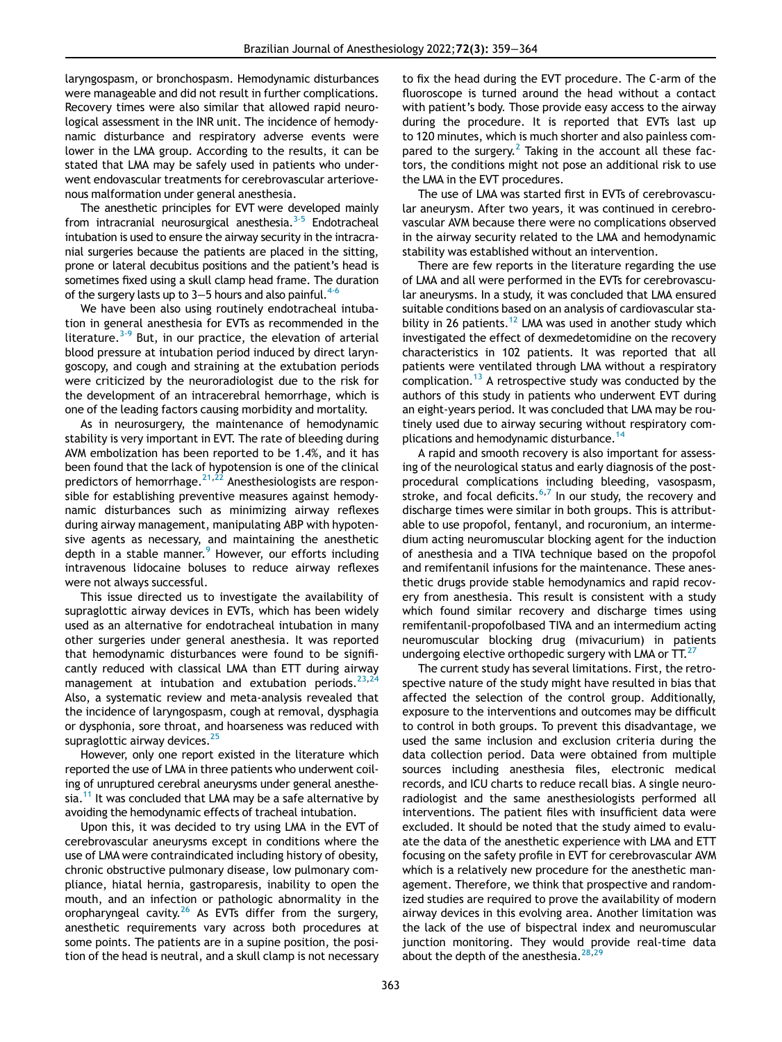laryngospasm, or bronchospasm. Hemodynamic disturbances were manageable and did not result in further complications. Recovery times were also similar that allowed rapid neurological assessment in the INR unit. The incidence of hemodynamic disturbance and respiratory adverse events were lower in the LMA group. According to the results, it can be stated that LMA may be safely used in patients who underwent endovascular treatments for cerebrovascular arteriovenous malformation under general anesthesia.

The anesthetic principles for EVT were developed mainly from intracranial neurosurgical anesthesia. $3-5$  Endotracheal intubation is used to ensure the airway security in the intracranial surgeries because the patients are placed in the sitting, prone or lateral decubitus positions and the patient's head is sometimes fixed using a skull clamp head frame. The duration of the surgery lasts up to 3–5 hours and also painful.<sup>4-6</sup>

We have been also using routinely endotracheal intubation in general anesthesia for EVTs as recommended in the literature. $3-9$  But, in our practice, the elevation of arterial blood pressure at intubation period induced by direct laryngoscopy, and cough and straining at the extubation periods were criticized by the neuroradiologist due to the risk for the development of an intracerebral hemorrhage, which is one of the leading factors causing morbidity and mortality.

As in neurosurgery, the maintenance of hemodynamic stability is very important in EVT. The rate of bleeding during AVM embolization has been reported to be 1.4%, and it has been found that the lack of hypotension is one of the clinical predictors of hemorrhage. $2^{1,22}$  $2^{1,22}$  $2^{1,22}$  Anesthesiologists are responsible for establishing preventive measures against hemodynamic disturbances such as minimizing airway reflexes during airway management, manipulating ABP with hypotensive agents as necessary, and maintaining the anesthetic depth in a stable manner.<sup>[9](#page-5-13)</sup> However, our efforts including intravenous lidocaine boluses to reduce airway reflexes were not always successful.

This issue directed us to investigate the availability of supraglottic airway devices in EVTs, which has been widely used as an alternative for endotracheal intubation in many other surgeries under general anesthesia. It was reported that hemodynamic disturbances were found to be significantly reduced with classical LMA than ETT during airway management at intubation and extubation periods.  $23,24$  $23,24$  $23,24$ Also, a systematic review and meta-analysis revealed that the incidence of laryngospasm, cough at removal, dysphagia or dysphonia, sore throat, and hoarseness was reduced with supraglottic airway devices.<sup>[25](#page-5-16)</sup>

However, only one report existed in the literature which reported the use of LMA in three patients who underwent coiling of unruptured cerebral aneurysms under general anesthesia.<sup>11</sup> It was concluded that LMA may be a safe alternative by avoiding the hemodynamic effects of tracheal intubation.

Upon this, it was decided to try using LMA in the EVT of cerebrovascular aneurysms except in conditions where the use of LMA were contraindicated including history of obesity, chronic obstructive pulmonary disease, low pulmonary compliance, hiatal hernia, gastroparesis, inability to open the mouth, and an infection or pathologic abnormality in the oropharyngeal cavity.<sup>[26](#page-5-17)</sup> As EVTs differ from the surgery, anesthetic requirements vary across both procedures at some points. The patients are in a supine position, the position of the head is neutral, and a skull clamp is not necessary

to fix the head during the EVT procedure. The C-arm of the fluoroscope is turned around the head without a contact with patient's body. Those provide easy access to the airway during the procedure. It is reported that EVTs last up to 120 minutes, which is much shorter and also painless com-pared to the surgery.<sup>[2](#page-5-1)</sup> Taking in the account all these factors, the conditions might not pose an additional risk to use the LMA in the EVT procedures.

The use of LMA was started first in EVTs of cerebrovascular aneurysm. After two years, it was continued in cerebrovascular AVM because there were no complications observed in the airway security related to the LMA and hemodynamic stability was established without an intervention.

There are few reports in the literature regarding the use of LMA and all were performed in the EVTs for cerebrovascular aneurysms. In a study, it was concluded that LMA ensured suitable conditions based on an analysis of cardiovascular sta-bility in 26 patients.<sup>[12](#page-5-18)</sup> LMA was used in another study which investigated the effect of dexmedetomidine on the recovery characteristics in 102 patients. It was reported that all patients were ventilated through LMA without a respiratory complication.[13](#page-5-19) A retrospective study was conducted by the authors of this study in patients who underwent EVT during an eight-years period. It was concluded that LMA may be routinely used due to airway securing without respiratory complications and hemodynamic disturbance.<sup>14</sup>

A rapid and smooth recovery is also important for assessing of the neurological status and early diagnosis of the postprocedural complications including bleeding, vasospasm, stroke, and focal deficits. $6,7$  $6,7$  $6,7$  In our study, the recovery and discharge times were similar in both groups. This is attributable to use propofol, fentanyl, and rocuronium, an intermedium acting neuromuscular blocking agent for the induction of anesthesia and a TIVA technique based on the propofol and remifentanil infusions for the maintenance. These anesthetic drugs provide stable hemodynamics and rapid recovery from anesthesia. This result is consistent with a study which found similar recovery and discharge times using remifentanil-propofolbased TIVA and an intermedium acting neuromuscular blocking drug (mivacurium) in patients undergoing elective orthopedic surgery with LMA or  $TT$ .<sup>[27](#page-5-22)</sup>

The current study has several limitations. First, the retrospective nature of the study might have resulted in bias that affected the selection of the control group. Additionally, exposure to the interventions and outcomes may be difficult to control in both groups. To prevent this disadvantage, we used the same inclusion and exclusion criteria during the data collection period. Data were obtained from multiple sources including anesthesia files, electronic medical records, and ICU charts to reduce recall bias. A single neuroradiologist and the same anesthesiologists performed all interventions. The patient files with insufficient data were excluded. It should be noted that the study aimed to evaluate the data of the anesthetic experience with LMA and ETT focusing on the safety profile in EVT for cerebrovascular AVM which is a relatively new procedure for the anesthetic management. Therefore, we think that prospective and randomized studies are required to prove the availability of modern airway devices in this evolving area. Another limitation was the lack of the use of bispectral index and neuromuscular junction monitoring. They would provide real-time data about the depth of the anesthesia.  $28,29$  $28,29$  $28,29$